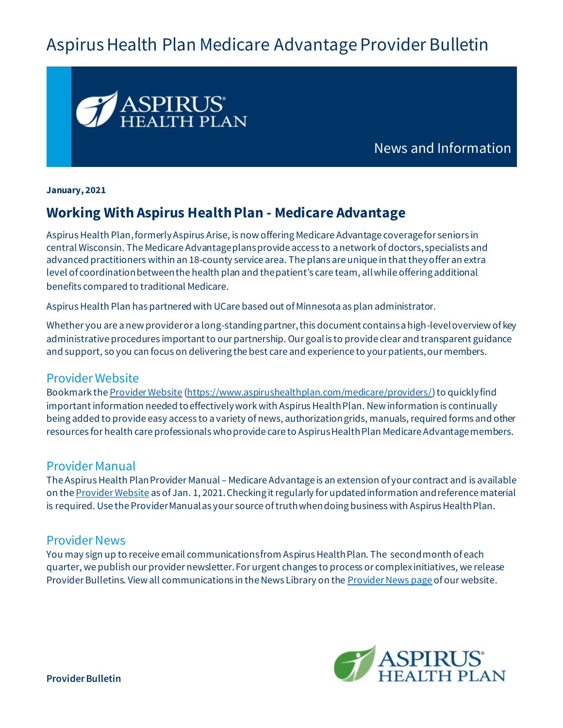# Aspirus Health Plan Medicare Advantage Provider Bulletin



News and Information

**January, 2021**

# **Working With Aspirus Health Plan - Medicare Advantage**

Aspirus Health Plan, formerly Aspirus Arise, is now offering Medicare Advantage coverage for seniors in central Wisconsin. The Medicare Advantage plans provide access to a network of doctors, specialists and advanced practitioners within an 18-county service area. The plans are unique in that they offer an extra level of coordination between the health plan and the patient's care team, all while offering additional benefits compared to traditional Medicare.

Aspirus Health Plan has partnered with UCare based out of Minnesota as plan administrator.

Whether you are a new provider or a long-standing partner, this document contains a high-level overview of key administrative procedures important to our partnership. Our goal is to provide clear and transparent guidance and support, so you can focus on delivering the best care and experience to your patients, our members.

## Provider Website

Bookmark th[e Provider Website](https://www.aspirushealthplan.com/medicare/providers/) [\(https://www.aspirushealthplan.com/medicare/providers/](https://www.aspirushealthplan.com/medicare/providers/)) to quickly find important information needed to effectively work with Aspirus Health Plan. New information is continually being added to provide easy access to a variety of news, authorization grids, manuals, required forms and other resources for health care professionals who provide care to Aspirus Health Plan Medicare Advantage members.

## Provider Manual

The Aspirus Health Plan Provider Manual – Medicare Advantage is an extension of your contract and is available on th[e Provider Website](https://www.aspirushealthplan.com/medicare/providers/) as of Jan. 1, 2021. Checking it regularly for updated information and reference material is required. Use the Provider Manual as your source of truth when doing business with Aspirus Health Plan.

## Provider News

You may sign up to receive email communications from Aspirus Health Plan. The second month of each quarter, we publish our provider newsletter. For urgent changes to process or complex initiatives, we release Provider Bulletins. View all communications in the News Library on the **Provider News page of our website**.

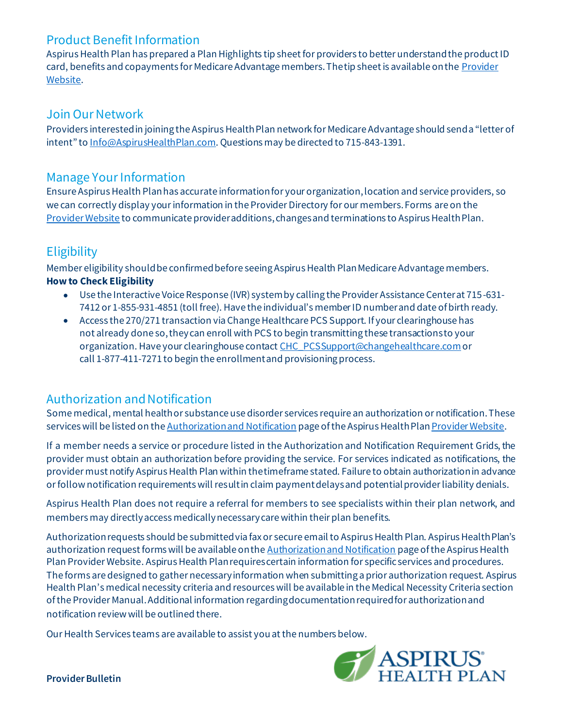# Product Benefit Information

Aspirus Health Plan has prepared a Plan Highlights tip sheet for providers to better understand the product ID card, benefits and copayments for Medicare Advantage members. The tip sheet is available on th[e Provider](https://www.aspirushealthplan.com/medicare/providers/)  [Website.](https://www.aspirushealthplan.com/medicare/providers/)

# Join Our Network

Providers interested in joining the Aspirus Health Plan network for Medicare Advantage should send a "letter of intent" to [Info@AspirusHealthPlan.com](mailto:Info@AspirusHealthPlan.com). Questions may be directed to 715-843-1391.

# Manage Your Information

Ensure Aspirus Health Plan has accurate information for your organization, location and service providers, so we can correctly display your information in the Provider Directory for our members. Forms are on the [Provider Website](https://www.aspirushealthplan.com/medicare/providers/) to communicate provider additions, changes and terminations to Aspirus Health Plan.

# **Eligibility**

Member eligibility should be confirmed before seeing Aspirus Health Plan Medicare Advantage members. **How to Check Eligibility** 

- Use the Interactive Voice Response (IVR) system by calling the Provider Assistance Center at 715-631-7412 or 1-855-931-4851 (toll free). Have the individual's member ID number and date of birth ready.
- Access the 270/271 transaction via Change Healthcare PCS Support. If your clearinghouse has not already done so, they can enroll with PCS to begin transmitting these transactions to your organization. Have your clearinghouse contac[t CHC\\_PCSSupport@changehealthcare.com](mailto:CHC_PCSSupport@changehealthcare.com)or call 1-877-411-7271 to begin the enrollment and provisioning process.

# Authorization andNotification

Some medical, mental health or substance use disorder services require an authorization or notification. These services will be listed on th[e Authorization and Notification](https://www.aspirushealthplan.com/medicare/providers/authorizations/) page of the Aspirus Health Plan Provider Website.

If a member needs a service or procedure listed in the Authorization and Notification Requirement Grids, the provider must obtain an authorization before providing the service. For services indicated as notifications, the provider must notify Aspirus Health Plan within the timeframe stated. Failure to obtain authorization in advance or follow notification requirements will result in claim payment delays and potential provider liability denials.

Aspirus Health Plan does not require a referral for members to see specialists within their plan network, and members may directly access medically necessary care within their plan benefits.

Authorization requests should be submitted via fax or secure email to Aspirus Health Plan. Aspirus Health Plan's authorization request forms will be available on th[e Authorization and Notification](https://www.aspirushealthplan.com/medicare/providers/authorizations/) page of the Aspirus Health Plan Provider Website. Aspirus Health Plan requires certain information for specific services and procedures. The forms are designed to gather necessary information when submitting a prior authorization request. Aspirus Health Plan's medical necessity criteria and resources will be available in the Medical Necessity Criteria section of the Provider Manual. Additional information regarding documentation required for authorization and notification review will be outlined there.

Our Health Services teams are available to assist you at the numbers below.



**Provider Bulletin**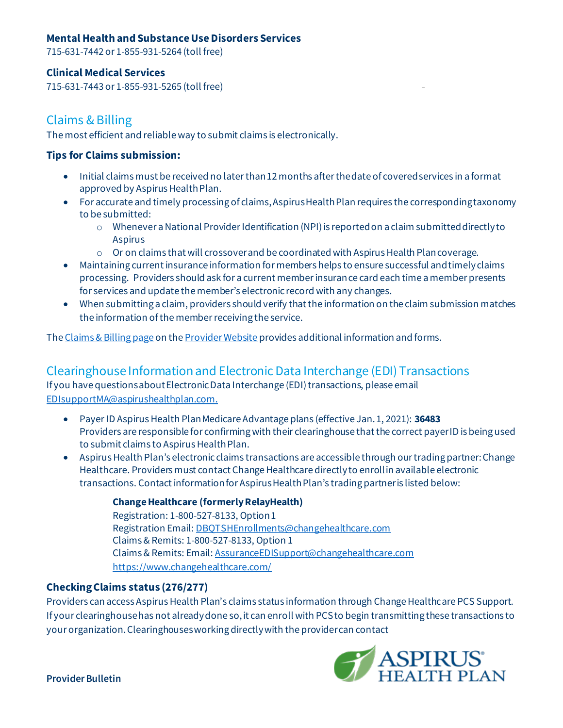#### **Mental Health and Substance Use Disorders Services**

715-631-7442 or 1-855-931-5264 (toll free)

#### **Clinical Medical Services**

715-631-7443 or 1-855-931-5265 (toll free)

## Claims & Billing

The most efficient and reliable way to submit claims is electronically.

#### **Tips for Claims submission:**

- Initial claims must be received no later than 12 months after the date of covered services in a format approved by Aspirus Health Plan.
- For accurate and timely processing of claims, Aspirus Health Plan requires the corresponding taxonomy to be submitted:
	- o Whenever a National Provider Identification (NPI) is reported on a claim submitted directly to Aspirus
	- o Or on claims that will crossover and be coordinated with Aspirus Health Plan coverage.
- Maintaining current insurance information for members helps to ensure successful and timely claims processing. Providers should ask for a current member insurance card each time a member presents for services and update the member's electronic record with any changes.
- When submitting a claim, providers should verify that the information on the claim submission matches the information of the member receiving the service.

The [Claims & Billing](https://www.aspirushealthplan.com/medicare/providers/claims-billing/) page on th[e Provider Website](https://www.aspirushealthplan.com/medicare/providers/) provides additional information and forms.

## Clearinghouse Informationand Electronic Data Interchange (EDI) Transactions

If you have questions about Electronic Data Interchange (EDI) transactions, please email [EDIsupportMA@aspirushealthplan.com.](mailto:EDIsupportMA@aspirushealthplan.com.)

- Payer ID Aspirus Health Plan Medicare Advantage plans (effective Jan. 1, 2021): **36483**  Providers are responsible for confirming with their clearinghouse that the correct payer ID is being used to submit claims to Aspirus Health Plan.
- Aspirus Health Plan's electronic claims transactions are accessible through our trading partner: Change Healthcare. Providers must contact Change Healthcare directly to enroll in available electronic transactions. Contact information for Aspirus Health Plan's trading partner is listed below:

**Change Healthcare (formerly RelayHealth)**  Registration: 1-800-527-8133, Option 1 Registration Email[: DBQTSHEnrollments@changehealthcare.com](mailto:DBQTSHEnrollments@changehealthcare.com) Claims & Remits: 1-800-527-8133, Option 1 Claims & Remits: Email[: AssuranceEDISupport@changehealthcare.com](mailto:AssuranceEDISupport@changehealthcare.com) <https://www.changehealthcare.com/>

#### **Checking Claims status (276/277)**

Providers can access Aspirus Health Plan's claims status information through Change Healthcare PCS Support. If your clearinghouse has not already done so, it can enroll with PCS to begin transmitting these transactions to your organization. Clearinghouses working directly with the provider can contact



**Provider Bulletin**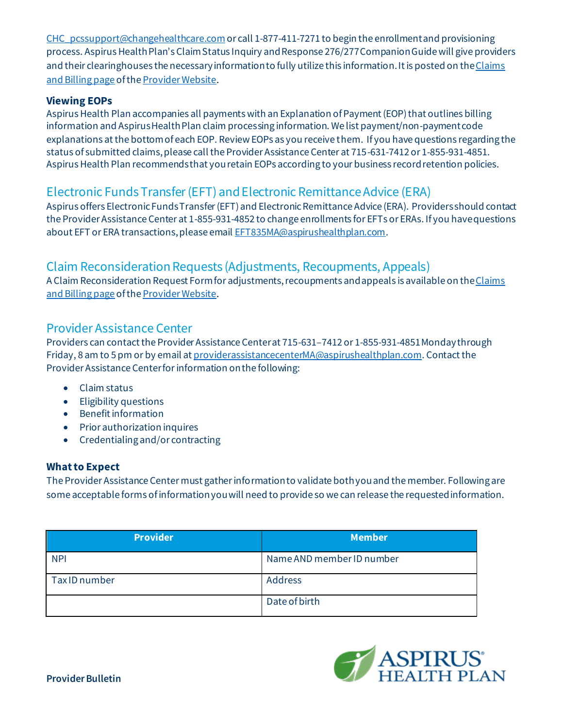[CHC\\_pcssupport@changehealthcare.com](mailto:CHC_pcssupport@changehealthcare.com) or call 1-877-411-7271 to begin the enrollment and provisioning process. Aspirus Health Plan's Claim Status Inquiry and Response 276/277 Companion Guide will give providers and their clearinghouses the necessary information to fully utilize this information. It is posted on the Claims [and Billing](https://www.aspirushealthplan.com/medicare/providers/claims-billing/) page of th[e Provider Website](https://www.aspirushealthplan.com/medicare/providers/).

#### **Viewing EOPs**

Aspirus Health Plan accompanies all payments with an Explanation of Payment (EOP) that outlines billing information and Aspirus Health Plan claim processing information. We list payment/non-payment code explanations at the bottom of each EOP. Review EOPs as you receive them. If you have questions regarding the status of submitted claims, please call the Provider Assistance Center at 715-631-7412 or 1-855-931-4851. Aspirus Health Plan recommends that you retain EOPs according to your business record retention policies.

# Electronic Funds Transfer(EFT) andElectronic RemittanceAdvice (ERA)

Aspirus offers Electronic Funds Transfer (EFT) and Electronic Remittance Advice (ERA). Providersshould contact the Provider Assistance Center at 1-855-931-4852 to change enrollments for EFTs or ERAs. If you have questions about EFT or ERA transactions, please emai[l EFT835MA@aspirushealthplan.com.](mailto:EFT835@ucare.org)

## Claim Reconsideration Requests (Adjustments, Recoupments, Appeals)

A Claim Reconsideration Request Form for adjustments, recoupments and appeals is available on the Claims [and Billing](https://www.aspirushealthplan.com/medicare/providers/claims-billing/) page of th[e Provider Website](https://www.aspirushealthplan.com/medicare/providers/).

## Provider Assistance Center

Providers can contact the Provider Assistance Center at 715-631–7412 or 1-855-931-4851 Monday through Friday, 8 am to 5 pm or by email a[t providerassistancecenterMA@aspirushealthplan.com](mailto:providerassistancecenterMA@aspirushealthplan.com). Contact the Provider Assistance Center for information on the following:

- Claim status
- Eligibility questions
- Benefit information
- Prior authorization inquires
- Credentialing and/or contracting

## **What to Expect**

The Provider Assistance Center must gather information to validate both you and the member. Following are some acceptable forms of information you will need to provide so we can release the requested information.

| <b>Provider</b> | <b>Member</b>             |
|-----------------|---------------------------|
| <b>NPI</b>      | Name AND member ID number |
| Tax ID number   | Address                   |
|                 | Date of birth             |

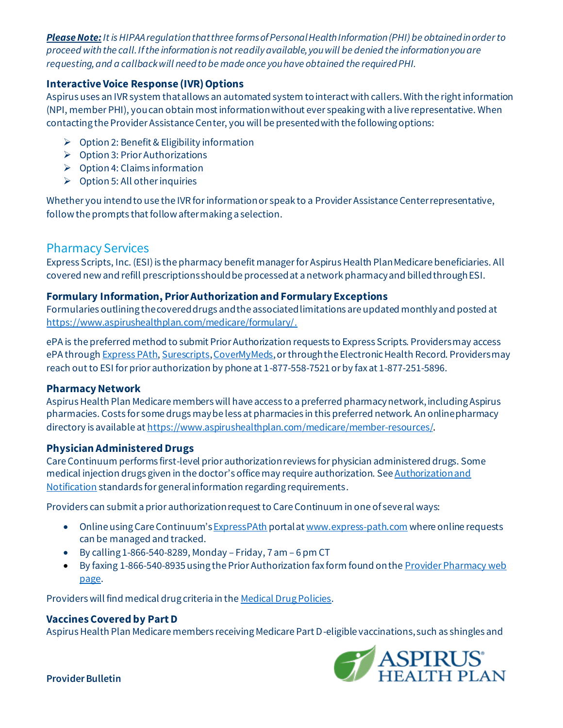*Please Note: It is HIPAA regulation that three forms of Personal Health Information (PHI) be obtained in order to proceed with the call. If the information is not readily available, you will be denied the information you are requesting, and a callback will need to be made once you have obtained the required PHI.*

#### **Interactive Voice Response (IVR) Options**

Aspirus uses an IVR system that allows an automated system to interact with callers. With the right information (NPI, member PHI), you can obtain most information without ever speaking with a live representative. When contacting the Provider Assistance Center, you will be presented with the following options:

- $\triangleright$  Option 2: Benefit & Eligibility information
- ➢ Option 3: Prior Authorizations
- ➢ Option 4: Claims information
- $\triangleright$  Option 5: All other inquiries

Whether you intend to use the IVR for information or speak to a Provider Assistance Center representative, follow the prompts that follow after making a selection.

# Pharmacy Services

Express Scripts, Inc. (ESI) is the pharmacy benefit manager for Aspirus Health Plan Medicare beneficiaries. All covered new and refill prescriptions should be processed at a network pharmacy and billed through ESI.

#### **Formulary Information, Prior Authorization and Formulary Exceptions**

Formularies outlining the covered drugs and the associated limitations are updated monthly and posted at <https://www.aspirushealthplan.com/medicare/formulary/>.

ePA is the preferred method to submit Prior Authorization requests to Express Scripts. Providers may access ePA throug[h Express PAth](https://www.express-path.com/login.aspx)[, Surescripts](https://providerportal.surescripts.net/providerportal?utm_campaign=CompletEPA%20Marketing%202017&utm_source=Hard_Copy&utm_medium=print&utm_content=Express%20Scripts%20QuickStart%20Print%20Materials)[, CoverMyMeds](https://www.covermymeds.com/epa/express-scripts/), or through the Electronic Health Record. Providers may reach out to ESI for prior authorization by phone at 1-877-558-7521 or by fax at 1-877-251-5896.

#### **Pharmacy Network**

Aspirus Health Plan Medicare members will have access to a preferred pharmacy network, including Aspirus pharmacies. Costs for some drugs may be less at pharmacies in this preferred network. An online pharmacy directory is available a[t https://www.aspirushealthplan.com/medicare/member-resources/](https://www.aspirushealthplan.com/medicare/member-resources/).

## **Physician Administered Drugs**

Care Continuum performs first-level prior authorization reviews for physician administered drugs. Some medical injection drugs given in the doctor's office may require authorization. See Authorization and [Notification](https://www.aspirushealthplan.com/medicare/providers/authorizations/) standards for general information regarding requirements.

Providers can submit a prior authorization request to Care Continuum in one of several ways:

- Online using Care Continuum's Express PAth portal a[t www.express-path.com](http://www.express-path.com/) where online requests can be managed and tracked.
- By calling  $1-866-540-8289$ , Monday Friday,  $7 \text{ am} 6 \text{ pm CT}$
- By faxing 1-866-540-8935 using the Prior Authorization fax form found on the [Provider Pharmacy](https://www.aspirushealthplan.com/medicare/providers/pharmacy/) web page.

Providers will find medical drug criteria in th[e Medical Drug Policies.](https://www.aspirushealthplan.com/medicare/providers/medical-drug-policies/)

## **Vaccines Covered by Part D**

Aspirus Health Plan Medicare members receiving Medicare Part D-eligible vaccinations, such as shingles and



**Provider Bulletin**